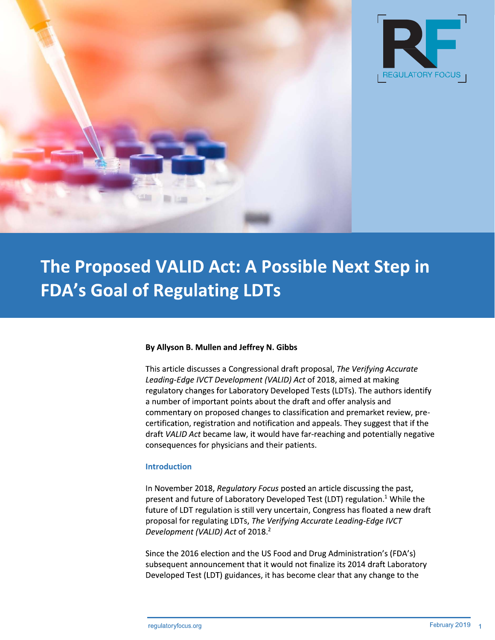



# The Proposed VALID Act: A Possible Next Step in **FDA's Goal of Regulating LDTs**

## By Allyson B. Mullen and Jeffrey N. Gibbs

This article discusses a Congressional draft proposal, The Verifying Accurate Leading-Edge IVCT Development (VALID) Act of 2018, aimed at making regulatory changes for Laboratory Developed Tests (LDTs). The authors identify a number of important points about the draft and offer analysis and commentary on proposed changes to classification and premarket review, precertification, registration and notification and appeals. They suggest that if the draft VALID Act became law, it would have far-reaching and potentially negative consequences for physicians and their patients.

#### **Introduction**

In November 2018, Regulatory Focus posted an article discussing the past, present and future of Laboratory Developed Test (LDT) regulation.<sup>1</sup> While the future of LDT regulation is still very uncertain, Congress has floated a new draft proposal for regulating LDTs, The Verifying Accurate Leading-Edge IVCT Development (VALID) Act of 2018.<sup>2</sup>

Since the 2016 election and the US Food and Drug Administration's (FDA's) subsequent announcement that it would not finalize its 2014 draft Laboratory Developed Test (LDT) guidances, it has become clear that any change to the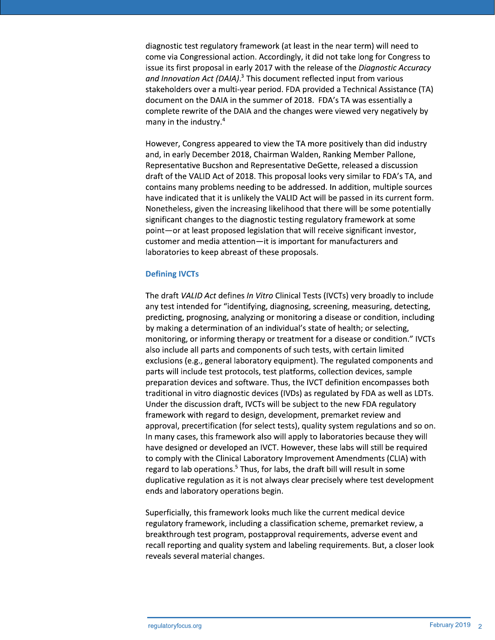diagnostic test regulatory framework (at least in the near term) will need to come via Congressional action. Accordingly, it did not take long for Congress to issue its first proposal in early 2017 with the release of the Diagnostic Accuracy and Innovation Act (DAIA).<sup>3</sup> This document reflected input from various stakeholders over a multi-year period. FDA provided a Technical Assistance (TA) document on the DAIA in the summer of 2018. FDA's TA was essentially a complete rewrite of the DAIA and the changes were viewed very negatively by many in the industry.<sup>4</sup>

However, Congress appeared to view the TA more positively than did industry and, in early December 2018, Chairman Walden, Ranking Member Pallone, Representative Bucshon and Representative DeGette, released a discussion draft of the VALID Act of 2018. This proposal looks very similar to FDA's TA, and contains many problems needing to be addressed. In addition, multiple sources have indicated that it is unlikely the VALID Act will be passed in its current form. Nonetheless, given the increasing likelihood that there will be some potentially significant changes to the diagnostic testing regulatory framework at some point-or at least proposed legislation that will receive significant investor, customer and media attention-it is important for manufacturers and laboratories to keep abreast of these proposals.

### **Defining IVCTs**

The draft VALID Act defines In Vitro Clinical Tests (IVCTs) very broadly to include any test intended for "identifying, diagnosing, screening, measuring, detecting, predicting, prognosing, analyzing or monitoring a disease or condition, including by making a determination of an individual's state of health; or selecting, monitoring, or informing therapy or treatment for a disease or condition." IVCTs also include all parts and components of such tests, with certain limited exclusions (e.g., general laboratory equipment). The regulated components and parts will include test protocols, test platforms, collection devices, sample preparation devices and software. Thus, the IVCT definition encompasses both traditional in vitro diagnostic devices (IVDs) as regulated by FDA as well as LDTs. Under the discussion draft, IVCTs will be subject to the new FDA regulatory framework with regard to design, development, premarket review and approval, precertification (for select tests), quality system regulations and so on. In many cases, this framework also will apply to laboratories because they will have designed or developed an IVCT. However, these labs will still be required to comply with the Clinical Laboratory Improvement Amendments (CLIA) with regard to lab operations.<sup>5</sup> Thus, for labs, the draft bill will result in some duplicative regulation as it is not always clear precisely where test development ends and laboratory operations begin.

Superficially, this framework looks much like the current medical device regulatory framework, including a classification scheme, premarket review, a breakthrough test program, postapproval requirements, adverse event and recall reporting and quality system and labeling requirements. But, a closer look reveals several material changes.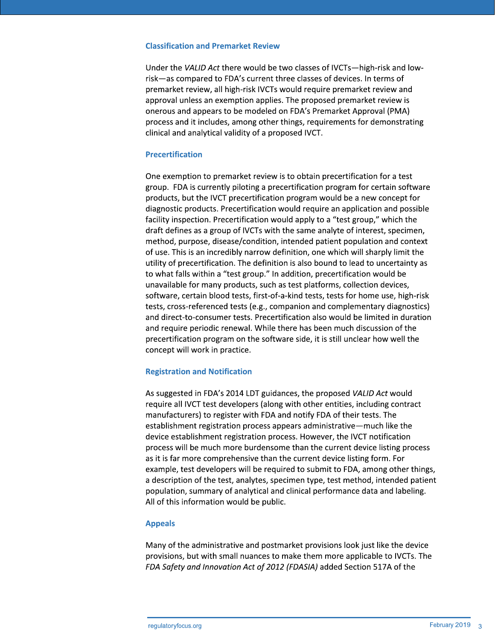#### **Classification and Premarket Review**

Under the VALID Act there would be two classes of IVCTs—high-risk and lowrisk-as compared to FDA's current three classes of devices. In terms of premarket review, all high-risk IVCTs would require premarket review and approval unless an exemption applies. The proposed premarket review is onerous and appears to be modeled on FDA's Premarket Approval (PMA) process and it includes, among other things, requirements for demonstrating clinical and analytical validity of a proposed IVCT.

## **Precertification**

One exemption to premarket review is to obtain precertification for a test group. FDA is currently piloting a precertification program for certain software products, but the IVCT precertification program would be a new concept for diagnostic products. Precertification would require an application and possible facility inspection. Precertification would apply to a "test group," which the draft defines as a group of IVCTs with the same analyte of interest, specimen, method, purpose, disease/condition, intended patient population and context of use. This is an incredibly narrow definition, one which will sharply limit the utility of precertification. The definition is also bound to lead to uncertainty as to what falls within a "test group." In addition, precertification would be unavailable for many products, such as test platforms, collection devices, software, certain blood tests, first-of-a-kind tests, tests for home use, high-risk tests, cross-referenced tests (e.g., companion and complementary diagnostics) and direct-to-consumer tests. Precertification also would be limited in duration and require periodic renewal. While there has been much discussion of the precertification program on the software side, it is still unclear how well the concept will work in practice.

# **Registration and Notification**

As suggested in FDA's 2014 LDT guidances, the proposed VALID Act would require all IVCT test developers (along with other entities, including contract manufacturers) to register with FDA and notify FDA of their tests. The establishment registration process appears administrative-much like the device establishment registration process. However, the IVCT notification process will be much more burdensome than the current device listing process as it is far more comprehensive than the current device listing form. For example, test developers will be required to submit to FDA, among other things, a description of the test, analytes, specimen type, test method, intended patient population, summary of analytical and clinical performance data and labeling. All of this information would be public.

## **Appeals**

Many of the administrative and postmarket provisions look just like the device provisions, but with small nuances to make them more applicable to IVCTs. The FDA Safety and Innovation Act of 2012 (FDASIA) added Section 517A of the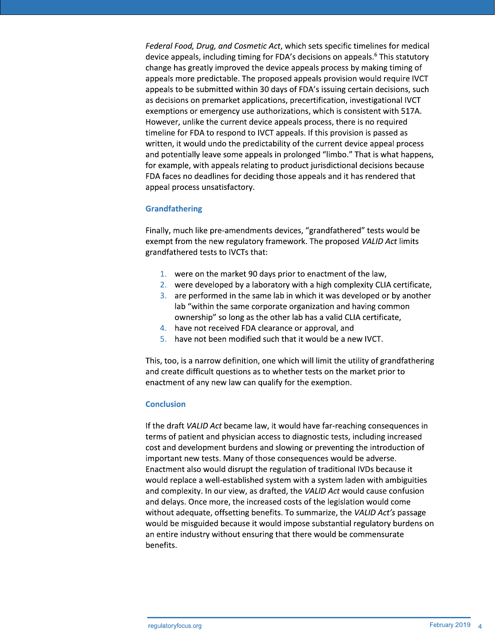Federal Food, Drug, and Cosmetic Act, which sets specific timelines for medical device appeals, including timing for FDA's decisions on appeals.<sup>6</sup> This statutory change has greatly improved the device appeals process by making timing of appeals more predictable. The proposed appeals provision would require IVCT appeals to be submitted within 30 days of FDA's issuing certain decisions, such as decisions on premarket applications, precertification, investigational IVCT exemptions or emergency use authorizations, which is consistent with 517A. However, unlike the current device appeals process, there is no required timeline for FDA to respond to IVCT appeals. If this provision is passed as written, it would undo the predictability of the current device appeal process and potentially leave some appeals in prolonged "limbo." That is what happens, for example, with appeals relating to product jurisdictional decisions because FDA faces no deadlines for deciding those appeals and it has rendered that appeal process unsatisfactory.

## **Grandfathering**

Finally, much like pre-amendments devices, "grandfathered" tests would be exempt from the new regulatory framework. The proposed VALID Act limits grandfathered tests to IVCTs that:

- 1. were on the market 90 days prior to enactment of the law,
- 2. were developed by a laboratory with a high complexity CLIA certificate,
- 3. are performed in the same lab in which it was developed or by another lab "within the same corporate organization and having common ownership" so long as the other lab has a valid CLIA certificate,
- 4. have not received FDA clearance or approval, and
- 5. have not been modified such that it would be a new IVCT.

This, too, is a narrow definition, one which will limit the utility of grandfathering and create difficult questions as to whether tests on the market prior to enactment of any new law can qualify for the exemption.

#### **Conclusion**

If the draft VALID Act became law, it would have far-reaching consequences in terms of patient and physician access to diagnostic tests, including increased cost and development burdens and slowing or preventing the introduction of important new tests. Many of those consequences would be adverse. Enactment also would disrupt the regulation of traditional IVDs because it would replace a well-established system with a system laden with ambiguities and complexity. In our view, as drafted, the VALID Act would cause confusion and delays. Once more, the increased costs of the legislation would come without adequate, offsetting benefits. To summarize, the VALID Act's passage would be misguided because it would impose substantial regulatory burdens on an entire industry without ensuring that there would be commensurate benefits.